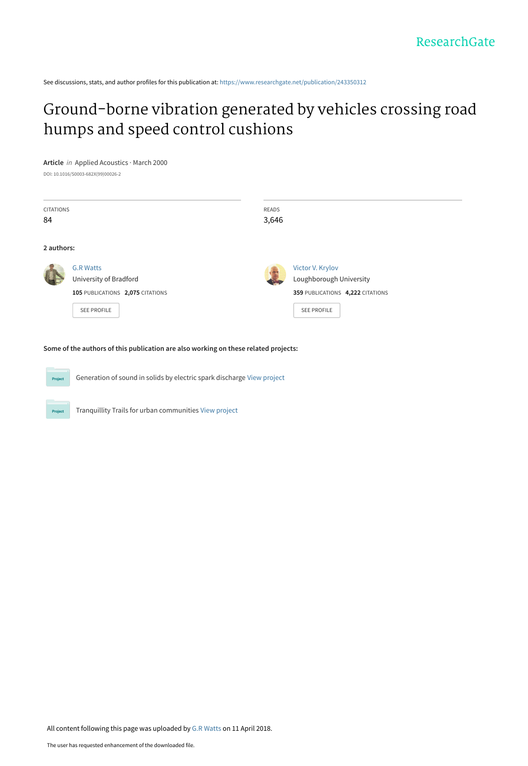See discussions, stats, and author profiles for this publication at: [https://www.researchgate.net/publication/243350312](https://www.researchgate.net/publication/243350312_Ground-borne_vibration_generated_by_vehicles_crossing_road_humps_and_speed_control_cushions?enrichId=rgreq-a478067dcae0eebf67435ef739cf39c6-XXX&enrichSource=Y292ZXJQYWdlOzI0MzM1MDMxMjtBUzo2MTQyNzQyMzM4MjMyMzNAMTUyMzQ2NTc5ODIxNw%3D%3D&el=1_x_2&_esc=publicationCoverPdf)

# [Ground-borne vibration generated by vehicles crossing road](https://www.researchgate.net/publication/243350312_Ground-borne_vibration_generated_by_vehicles_crossing_road_humps_and_speed_control_cushions?enrichId=rgreq-a478067dcae0eebf67435ef739cf39c6-XXX&enrichSource=Y292ZXJQYWdlOzI0MzM1MDMxMjtBUzo2MTQyNzQyMzM4MjMyMzNAMTUyMzQ2NTc5ODIxNw%3D%3D&el=1_x_3&_esc=publicationCoverPdf) humps and speed control cushions

### **Article** in Applied Acoustics · March 2000

DOI: 10.1016/S0003-682X(99)00026-2

| <b>CITATIONS</b> |                                  | READS |                                  |
|------------------|----------------------------------|-------|----------------------------------|
| 84               |                                  | 3,646 |                                  |
|                  |                                  |       |                                  |
| 2 authors:       |                                  |       |                                  |
|                  | <b>G.R Watts</b>                 |       | Victor V. Krylov                 |
|                  | University of Bradford           |       | Loughborough University          |
|                  | 105 PUBLICATIONS 2,075 CITATIONS |       | 359 PUBLICATIONS 4,222 CITATIONS |
|                  | SEE PROFILE                      |       | <b>SEE PROFILE</b>               |
|                  |                                  |       |                                  |

**Some of the authors of this publication are also working on these related projects:**

Generation of sound in solids by electric spark discharge [View project](https://www.researchgate.net/project/Generation-of-sound-in-solids-by-electric-spark-discharge?enrichId=rgreq-a478067dcae0eebf67435ef739cf39c6-XXX&enrichSource=Y292ZXJQYWdlOzI0MzM1MDMxMjtBUzo2MTQyNzQyMzM4MjMyMzNAMTUyMzQ2NTc5ODIxNw%3D%3D&el=1_x_9&_esc=publicationCoverPdf)



Tranquillity Trails for urban communities [View project](https://www.researchgate.net/project/Tranquillity-Trails-for-urban-communities?enrichId=rgreq-a478067dcae0eebf67435ef739cf39c6-XXX&enrichSource=Y292ZXJQYWdlOzI0MzM1MDMxMjtBUzo2MTQyNzQyMzM4MjMyMzNAMTUyMzQ2NTc5ODIxNw%3D%3D&el=1_x_9&_esc=publicationCoverPdf)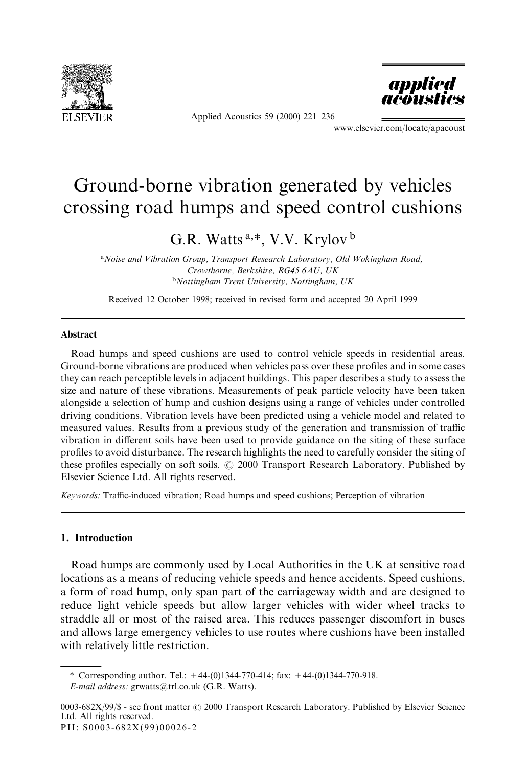

Applied Acoustics 59 (2000) 221-236



www.elsevier.com/locate/apacoust

## Ground-borne vibration generated by vehicles crossing road humps and speed control cushions

## G.R. Watts<sup>a,\*</sup>, V.V. Krylov<sup>b</sup>

<sup>a</sup>Noise and Vibration Group, Transport Research Laboratory, Old Wokingham Road, Crowthorne, Berkshire, RG45 6AU, UK bNottingham Trent University, Nottingham, UK

Received 12 October 1998; received in revised form and accepted 20 April 1999

#### Abstract

Road humps and speed cushions are used to control vehicle speeds in residential areas. Ground-borne vibrations are produced when vehicles pass over these profiles and in some cases they can reach perceptible levels in adjacent buildings. This paper describes a study to assess the size and nature of these vibrations. Measurements of peak particle velocity have been taken alongside a selection of hump and cushion designs using a range of vehicles under controlled driving conditions. Vibration levels have been predicted using a vehicle model and related to measured values. Results from a previous study of the generation and transmission of traffic vibration in different soils have been used to provide guidance on the siting of these surface pro®les to avoid disturbance. The research highlights the need to carefully consider the siting of these profiles especially on soft soils.  $\odot$  2000 Transport Research Laboratory. Published by Elsevier Science Ltd. All rights reserved.

Keywords: Traffic-induced vibration; Road humps and speed cushions; Perception of vibration

## 1. Introduction

Road humps are commonly used by Local Authorities in the UK at sensitive road locations as a means of reducing vehicle speeds and hence accidents. Speed cushions, a form of road hump, only span part of the carriageway width and are designed to reduce light vehicle speeds but allow larger vehicles with wider wheel tracks to straddle all or most of the raised area. This reduces passenger discomfort in buses and allows large emergency vehicles to use routes where cushions have been installed with relatively little restriction.

<sup>\*</sup> Corresponding author. Tel.:  $+44-(0)1344-770-414$ ; fax:  $+44-(0)1344-770-918$ .

E-mail address: grwatts@trl.co.uk (G.R. Watts).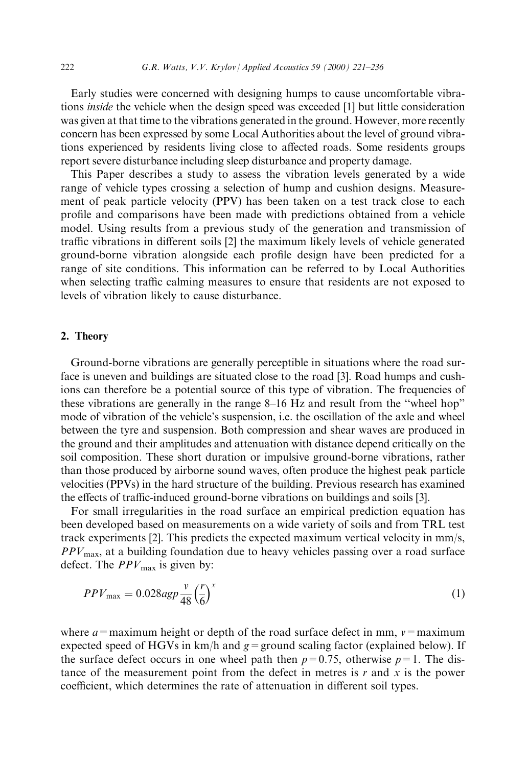Early studies were concerned with designing humps to cause uncomfortable vibrations *inside* the vehicle when the design speed was exceeded [1] but little consideration was given at that time to the vibrations generated in the ground. However, more recently concern has been expressed by some Local Authorities about the level of ground vibrations experienced by residents living close to affected roads. Some residents groups report severe disturbance including sleep disturbance and property damage.

This Paper describes a study to assess the vibration levels generated by a wide range of vehicle types crossing a selection of hump and cushion designs. Measurement of peak particle velocity (PPV) has been taken on a test track close to each profile and comparisons have been made with predictions obtained from a vehicle model. Using results from a previous study of the generation and transmission of traffic vibrations in different soils [2] the maximum likely levels of vehicle generated ground-borne vibration alongside each profile design have been predicted for a range of site conditions. This information can be referred to by Local Authorities when selecting traffic calming measures to ensure that residents are not exposed to levels of vibration likely to cause disturbance.

#### 2. Theory

Ground-borne vibrations are generally perceptible in situations where the road surface is uneven and buildings are situated close to the road [3]. Road humps and cushions can therefore be a potential source of this type of vibration. The frequencies of these vibrations are generally in the range  $8-16$  Hz and result from the "wheel hop" mode of vibration of the vehicle's suspension, i.e. the oscillation of the axle and wheel between the tyre and suspension. Both compression and shear waves are produced in the ground and their amplitudes and attenuation with distance depend critically on the soil composition. These short duration or impulsive ground-borne vibrations, rather than those produced by airborne sound waves, often produce the highest peak particle velocities (PPVs) in the hard structure of the building. Previous research has examined the effects of traffic-induced ground-borne vibrations on buildings and soils [3].

For small irregularities in the road surface an empirical prediction equation has been developed based on measurements on a wide variety of soils and from TRL test track experiments [2]. This predicts the expected maximum vertical velocity in mm/s,  $PPV<sub>max</sub>$ , at a building foundation due to heavy vehicles passing over a road surface defect. The  $PPV_{\text{max}}$  is given by:

$$
PPV_{\text{max}} = 0.028 \text{agp} \frac{v}{48} \left(\frac{r}{6}\right)^x \tag{1}
$$

where  $a =$  maximum height or depth of the road surface defect in mm,  $v =$  maximum expected speed of HGVs in  $km/h$  and  $g =$  ground scaling factor (explained below). If the surface defect occurs in one wheel path then  $p=0.75$ , otherwise  $p=1$ . The distance of the measurement point from the defect in metres is  $r$  and  $x$  is the power coefficient, which determines the rate of attenuation in different soil types.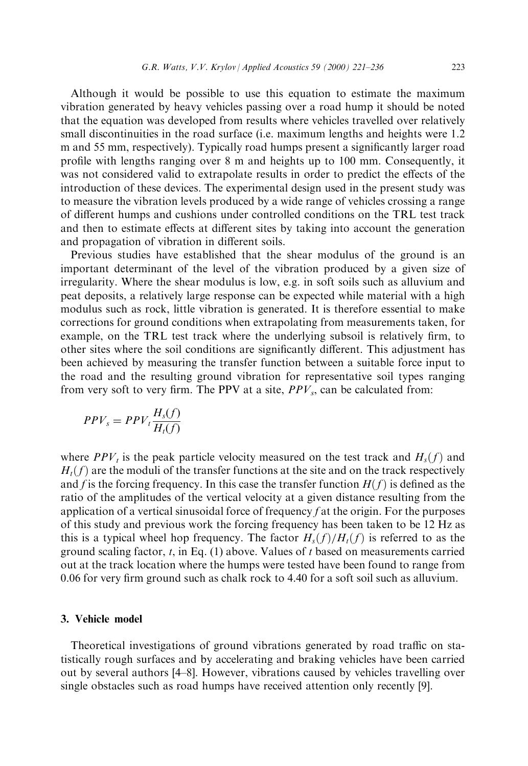Although it would be possible to use this equation to estimate the maximum vibration generated by heavy vehicles passing over a road hump it should be noted that the equation was developed from results where vehicles travelled over relatively small discontinuities in the road surface (i.e. maximum lengths and heights were 1.2 m and 55 mm, respectively). Typically road humps present a significantly larger road profile with lengths ranging over  $8 \text{ m}$  and heights up to 100 mm. Consequently, it was not considered valid to extrapolate results in order to predict the effects of the introduction of these devices. The experimental design used in the present study was to measure the vibration levels produced by a wide range of vehicles crossing a range of different humps and cushions under controlled conditions on the TRL test track and then to estimate effects at different sites by taking into account the generation and propagation of vibration in different soils.

Previous studies have established that the shear modulus of the ground is an important determinant of the level of the vibration produced by a given size of irregularity. Where the shear modulus is low, e.g. in soft soils such as alluvium and peat deposits, a relatively large response can be expected while material with a high modulus such as rock, little vibration is generated. It is therefore essential to make corrections for ground conditions when extrapolating from measurements taken, for example, on the TRL test track where the underlying subsoil is relatively firm, to other sites where the soil conditions are significantly different. This adjustment has been achieved by measuring the transfer function between a suitable force input to the road and the resulting ground vibration for representative soil types ranging from very soft to very firm. The PPV at a site,  $PPV_s$ , can be calculated from:

$$
PPV_s = PPV_t \frac{H_s(f)}{H_t(f)}
$$

where  $PPV<sub>t</sub>$  is the peak particle velocity measured on the test track and  $H<sub>s</sub>(f)$  and  $H_t(f)$  are the moduli of the transfer functions at the site and on the track respectively and f is the forcing frequency. In this case the transfer function  $H(f)$  is defined as the ratio of the amplitudes of the vertical velocity at a given distance resulting from the application of a vertical sinusoidal force of frequency  $f$  at the origin. For the purposes of this study and previous work the forcing frequency has been taken to be 12 Hz as this is a typical wheel hop frequency. The factor  $H_s(f)/H_t(f)$  is referred to as the ground scaling factor,  $t$ , in Eq. (1) above. Values of  $t$  based on measurements carried out at the track location where the humps were tested have been found to range from  $0.06$  for very firm ground such as chalk rock to  $4.40$  for a soft soil such as alluvium.

## 3. Vehicle model

Theoretical investigations of ground vibrations generated by road traffic on statistically rough surfaces and by accelerating and braking vehicles have been carried out by several authors [4±8]. However, vibrations caused by vehicles travelling over single obstacles such as road humps have received attention only recently [9].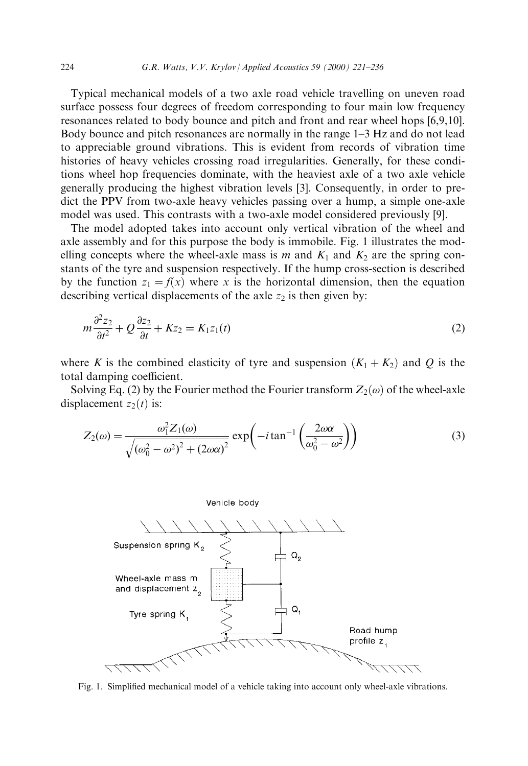Typical mechanical models of a two axle road vehicle travelling on uneven road surface possess four degrees of freedom corresponding to four main low frequency resonances related to body bounce and pitch and front and rear wheel hops [6,9,10]. Body bounce and pitch resonances are normally in the range  $1-3$  Hz and do not lead to appreciable ground vibrations. This is evident from records of vibration time histories of heavy vehicles crossing road irregularities. Generally, for these conditions wheel hop frequencies dominate, with the heaviest axle of a two axle vehicle generally producing the highest vibration levels [3]. Consequently, in order to predict the PPV from two-axle heavy vehicles passing over a hump, a simple one-axle model was used. This contrasts with a two-axle model considered previously [9].

The model adopted takes into account only vertical vibration of the wheel and axle assembly and for this purpose the body is immobile. Fig. 1 illustrates the modelling concepts where the wheel-axle mass is m and  $K_1$  and  $K_2$  are the spring constants of the tyre and suspension respectively. If the hump cross-section is described by the function  $z_1 = f(x)$  where x is the horizontal dimension, then the equation describing vertical displacements of the axle  $z_2$  is then given by:

$$
m\frac{\partial^2 z_2}{\partial t^2} + Q\frac{\partial z_2}{\partial t} + Kz_2 = K_1 z_1(t)
$$
\n(2)

where K is the combined elasticity of tyre and suspension  $(K_1 + K_2)$  and Q is the total damping coefficient.

Solving Eq. (2) by the Fourier method the Fourier transform  $Z_2(\omega)$  of the wheel-axle displacement  $z_2(t)$  is:

$$
Z_2(\omega) = \frac{\omega_1^2 Z_1(\omega)}{\sqrt{(\omega_0^2 - \omega^2)^2 + (2\omega\alpha)^2}} \exp\left(-i\tan^{-1}\left(\frac{2\omega\alpha}{\omega_0^2 - \omega^2}\right)\right)
$$
(3)



Fig. 1. Simplified mechanical model of a vehicle taking into account only wheel-axle vibrations.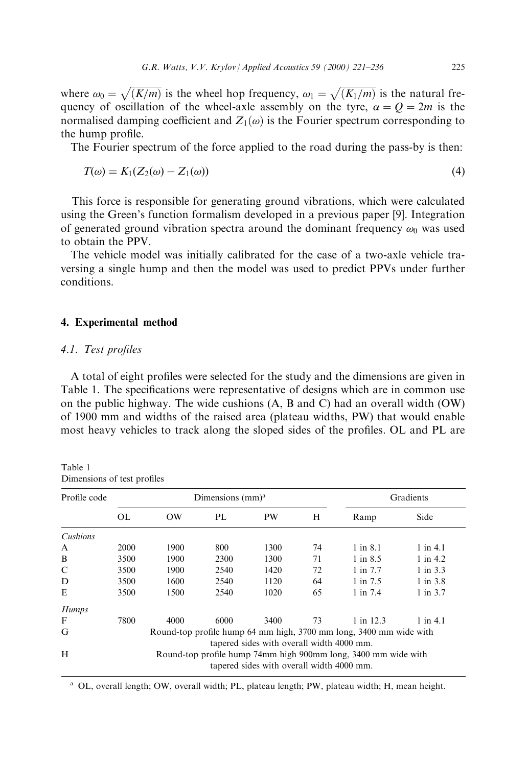where  $\omega_0 = \sqrt{(K/m)}$  is the wheel hop frequency,  $\omega_1 = \sqrt{(K_1/m)}$  is the natural frequency of oscillation of the wheel-axle assembly on the tyre,  $\alpha = Q = 2m$  is the normalised damping coefficient and  $Z_1(\omega)$  is the Fourier spectrum corresponding to the hump profile.

The Fourier spectrum of the force applied to the road during the pass-by is then:

$$
T(\omega) = K_1(Z_2(\omega) - Z_1(\omega))
$$
\n<sup>(4)</sup>

This force is responsible for generating ground vibrations, which were calculated using the Green's function formalism developed in a previous paper [9]. Integration of generated ground vibration spectra around the dominant frequency  $\omega_0$  was used to obtain the PPV.

The vehicle model was initially calibrated for the case of a two-axle vehicle traversing a single hump and then the model was used to predict PPVs under further conditions.

## 4. Experimental method

#### 4.1. Test profiles

A total of eight profiles were selected for the study and the dimensions are given in Table 1. The specifications were representative of designs which are in common use on the public highway. The wide cushions (A, B and C) had an overall width (OW) of 1900 mm and widths of the raised area (plateau widths, PW) that would enable most heavy vehicles to track along the sloped sides of the profiles. OL and PL are

| Profile code | Dimensions (mm) <sup>a</sup>                                                                                |           |      |                                           |    | Gradients                                                          |              |
|--------------|-------------------------------------------------------------------------------------------------------------|-----------|------|-------------------------------------------|----|--------------------------------------------------------------------|--------------|
|              | OL                                                                                                          | <b>OW</b> | PL   | PW                                        | H  | Ramp                                                               | Side         |
| Cushions     |                                                                                                             |           |      |                                           |    |                                                                    |              |
| A            | 2000                                                                                                        | 1900      | 800  | 1300                                      | 74 | $1$ in $8.1$                                                       | $1$ in $4.1$ |
| B            | 3500                                                                                                        | 1900      | 2300 | 1300                                      | 71 | $1$ in $8.5$                                                       | $1$ in $4.2$ |
| C            | 3500                                                                                                        | 1900      | 2540 | 1420                                      | 72 | $1$ in $7.7$                                                       | $1$ in $3.3$ |
| D            | 3500                                                                                                        | 1600      | 2540 | 1120                                      | 64 | 1 in 7.5                                                           | $1$ in $3.8$ |
| E            | 3500                                                                                                        | 1500      | 2540 | 1020                                      | 65 | $1$ in $7.4$                                                       | $1$ in $3.7$ |
| <b>Humps</b> |                                                                                                             |           |      |                                           |    |                                                                    |              |
| F            | 7800                                                                                                        | 4000      | 6000 | 3400                                      | 73 | $1$ in 12.3                                                        | $1$ in $4.1$ |
| G            |                                                                                                             |           |      | tapered sides with overall width 4000 mm. |    | Round-top profile hump 64 mm high, 3700 mm long, 3400 mm wide with |              |
| H            | Round-top profile hump 74mm high 900mm long, 3400 mm wide with<br>tapered sides with overall width 4000 mm. |           |      |                                           |    |                                                                    |              |

Table 1 Dimensions of test profiles

<sup>a</sup> OL, overall length; OW, overall width; PL, plateau length; PW, plateau width; H, mean height.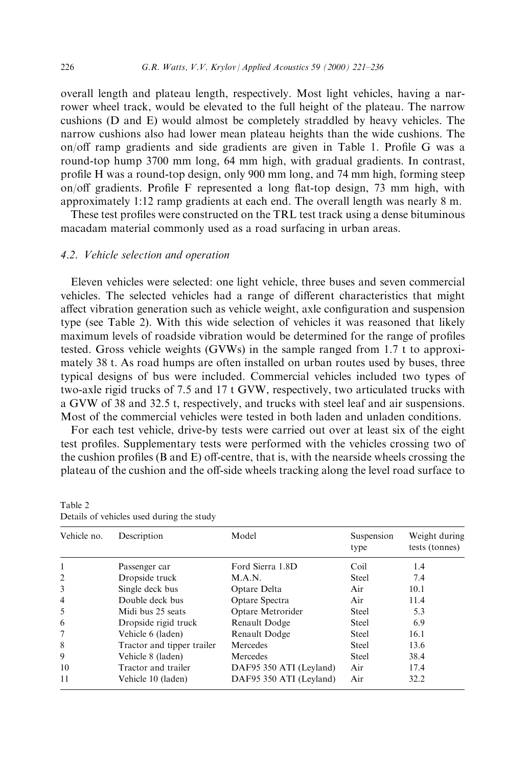overall length and plateau length, respectively. Most light vehicles, having a narrower wheel track, would be elevated to the full height of the plateau. The narrow cushions (D and E) would almost be completely straddled by heavy vehicles. The narrow cushions also had lower mean plateau heights than the wide cushions. The on/off ramp gradients and side gradients are given in Table 1. Profile G was a round-top hump 3700 mm long, 64 mm high, with gradual gradients. In contrast, profile H was a round-top design, only 900 mm long, and 74 mm high, forming steep on/off gradients. Profile F represented a long flat-top design, 73 mm high, with approximately 1:12 ramp gradients at each end. The overall length was nearly 8 m.

These test profiles were constructed on the TRL test track using a dense bituminous macadam material commonly used as a road surfacing in urban areas.

## 4.2. Vehicle selection and operation

Eleven vehicles were selected: one light vehicle, three buses and seven commercial vehicles. The selected vehicles had a range of different characteristics that might affect vibration generation such as vehicle weight, axle configuration and suspension type (see Table 2). With this wide selection of vehicles it was reasoned that likely maximum levels of roadside vibration would be determined for the range of profiles tested. Gross vehicle weights (GVWs) in the sample ranged from 1.7 t to approximately 38 t. As road humps are often installed on urban routes used by buses, three typical designs of bus were included. Commercial vehicles included two types of two-axle rigid trucks of 7.5 and 17 t GVW, respectively, two articulated trucks with a GVW of 38 and 32.5 t, respectively, and trucks with steel leaf and air suspensions. Most of the commercial vehicles were tested in both laden and unladen conditions.

For each test vehicle, drive-by tests were carried out over at least six of the eight test profiles. Supplementary tests were performed with the vehicles crossing two of the cushion profiles (B and E) off-centre, that is, with the nearside wheels crossing the plateau of the cushion and the off-side wheels tracking along the level road surface to

| Vehicle no.    | Description                | Model                   | Suspension<br>type | Weight during<br>tests (tonnes) |
|----------------|----------------------------|-------------------------|--------------------|---------------------------------|
| 1              | Passenger car              | Ford Sierra 1.8D        | Coil               | 1.4                             |
| $\overline{2}$ | Dropside truck             | MA.N.                   | <b>Steel</b>       | 7.4                             |
| 3              | Single deck bus            | Optare Delta            | Air                | 10.1                            |
| 4              | Double deck bus            | Optare Spectra          | Air                | 11.4                            |
| 5              | Midi bus 25 seats          | Optare Metrorider       | <b>Steel</b>       | 5.3                             |
| 6              | Dropside rigid truck       | Renault Dodge           | <b>Steel</b>       | 6.9                             |
| 7              | Vehicle 6 (laden)          | Renault Dodge           | <b>Steel</b>       | 16.1                            |
| 8              | Tractor and tipper trailer | Mercedes                | <b>Steel</b>       | 13.6                            |
| 9              | Vehicle 8 (laden)          | Mercedes                | <b>Steel</b>       | 38.4                            |
| 10             | Tractor and trailer        | DAF95 350 ATI (Leyland) | Air                | 17.4                            |
| 11             | Vehicle 10 (laden)         | DAF95 350 ATI (Leyland) | Air                | 32.2                            |

Table 2 Details of vehicles used during the study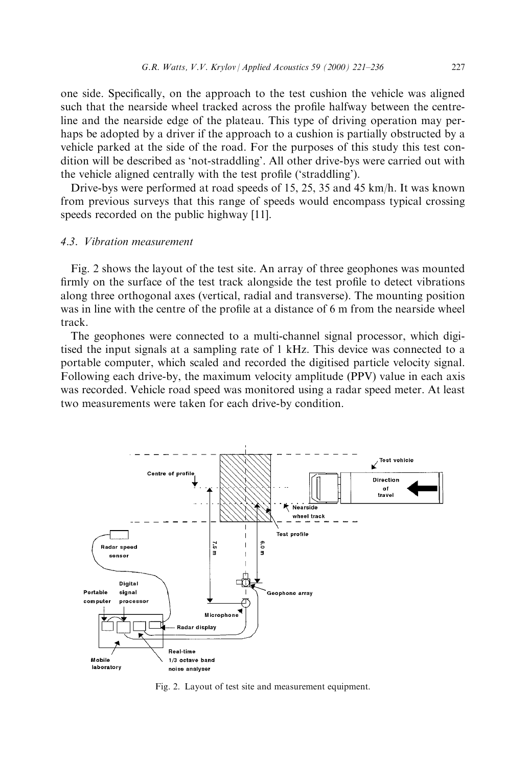one side. Specifically, on the approach to the test cushion the vehicle was aligned such that the nearside wheel tracked across the profile halfway between the centreline and the nearside edge of the plateau. This type of driving operation may perhaps be adopted by a driver if the approach to a cushion is partially obstructed by a vehicle parked at the side of the road. For the purposes of this study this test condition will be described as `not-straddling'. All other drive-bys were carried out with the vehicle aligned centrally with the test profile ('straddling').

Drive-bys were performed at road speeds of 15, 25, 35 and 45 km/h. It was known from previous surveys that this range of speeds would encompass typical crossing speeds recorded on the public highway [11].

## 4.3. Vibration measurement

Fig. 2 shows the layout of the test site. An array of three geophones was mounted firmly on the surface of the test track alongside the test profile to detect vibrations along three orthogonal axes (vertical, radial and transverse). The mounting position was in line with the centre of the profile at a distance of 6 m from the nearside wheel track.

The geophones were connected to a multi-channel signal processor, which digitised the input signals at a sampling rate of 1 kHz. This device was connected to a portable computer, which scaled and recorded the digitised particle velocity signal. Following each drive-by, the maximum velocity amplitude (PPV) value in each axis was recorded. Vehicle road speed was monitored using a radar speed meter. At least two measurements were taken for each drive-by condition.



Fig. 2. Layout of test site and measurement equipment.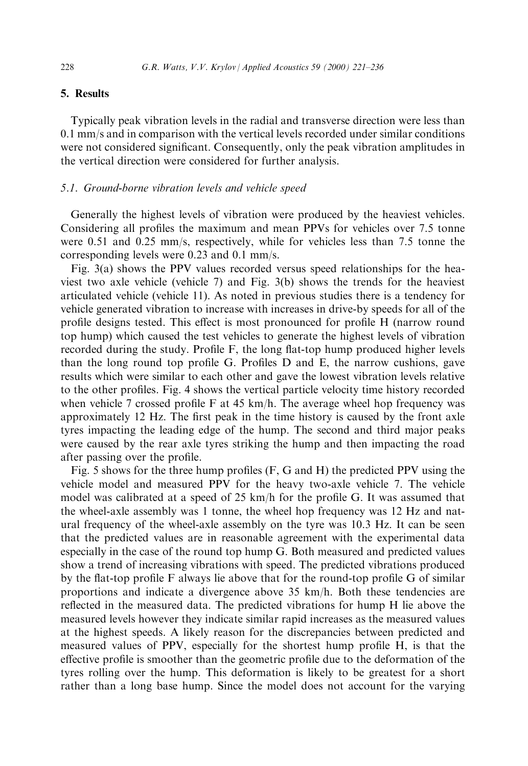## 5. Results

Typically peak vibration levels in the radial and transverse direction were less than 0.1 mm/s and in comparison with the vertical levels recorded under similar conditions were not considered significant. Consequently, only the peak vibration amplitudes in the vertical direction were considered for further analysis.

## 5.1. Ground-borne vibration levels and vehicle speed

Generally the highest levels of vibration were produced by the heaviest vehicles. Considering all profiles the maximum and mean PPVs for vehicles over 7.5 tonne were 0.51 and 0.25 mm/s, respectively, while for vehicles less than 7.5 tonne the corresponding levels were 0.23 and 0.1 mm/s.

Fig. 3(a) shows the PPV values recorded versus speed relationships for the heaviest two axle vehicle (vehicle 7) and Fig. 3(b) shows the trends for the heaviest articulated vehicle (vehicle 11). As noted in previous studies there is a tendency for vehicle generated vibration to increase with increases in drive-by speeds for all of the profile designs tested. This effect is most pronounced for profile H (narrow round top hump) which caused the test vehicles to generate the highest levels of vibration recorded during the study. Profile  $F$ , the long flat-top hump produced higher levels than the long round top profile G. Profiles  $D$  and  $E$ , the narrow cushions, gave results which were similar to each other and gave the lowest vibration levels relative to the other profiles. Fig. 4 shows the vertical particle velocity time history recorded when vehicle 7 crossed profile F at 45 km/h. The average wheel hop frequency was approximately 12 Hz. The first peak in the time history is caused by the front axle tyres impacting the leading edge of the hump. The second and third major peaks were caused by the rear axle tyres striking the hump and then impacting the road after passing over the profile.

Fig. 5 shows for the three hump profiles  $(F, G \text{ and } H)$  the predicted PPV using the vehicle model and measured PPV for the heavy two-axle vehicle 7. The vehicle model was calibrated at a speed of  $25 \text{ km/h}$  for the profile G. It was assumed that the wheel-axle assembly was 1 tonne, the wheel hop frequency was 12 Hz and natural frequency of the wheel-axle assembly on the tyre was 10.3 Hz. It can be seen that the predicted values are in reasonable agreement with the experimental data especially in the case of the round top hump G. Both measured and predicted values show a trend of increasing vibrations with speed. The predicted vibrations produced by the flat-top profile  $F$  always lie above that for the round-top profile  $G$  of similar proportions and indicate a divergence above 35 km/h. Both these tendencies are reflected in the measured data. The predicted vibrations for hump H lie above the measured levels however they indicate similar rapid increases as the measured values at the highest speeds. A likely reason for the discrepancies between predicted and measured values of PPV, especially for the shortest hump profile H, is that the effective profile is smoother than the geometric profile due to the deformation of the tyres rolling over the hump. This deformation is likely to be greatest for a short rather than a long base hump. Since the model does not account for the varying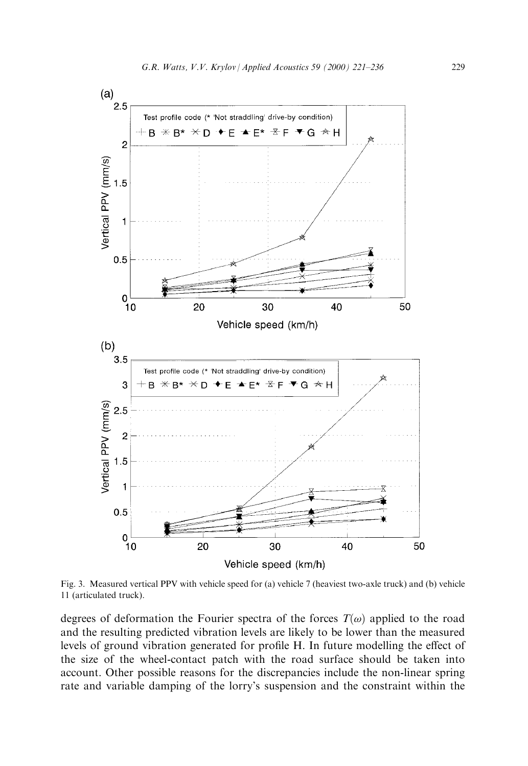

Fig. 3. Measured vertical PPV with vehicle speed for (a) vehicle 7 (heaviest two-axle truck) and (b) vehicle 11 (articulated truck).

degrees of deformation the Fourier spectra of the forces  $T(\omega)$  applied to the road and the resulting predicted vibration levels are likely to be lower than the measured levels of ground vibration generated for profile H. In future modelling the effect of the size of the wheel-contact patch with the road surface should be taken into account. Other possible reasons for the discrepancies include the non-linear spring rate and variable damping of the lorry's suspension and the constraint within the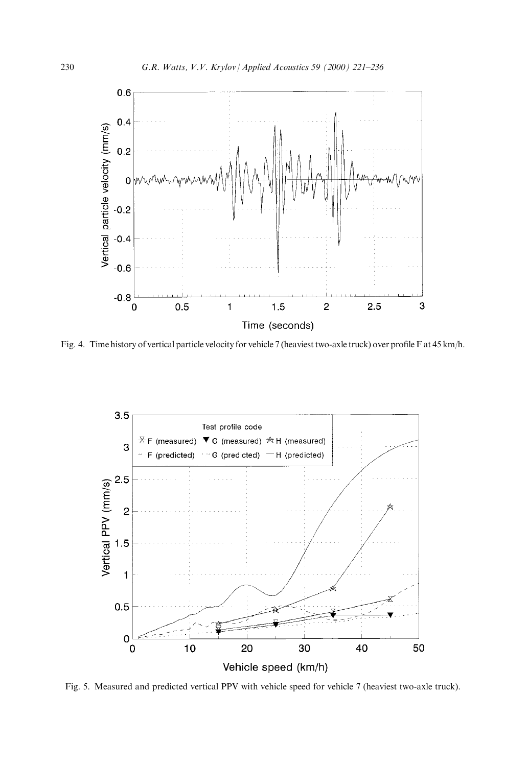

Fig. 4. Time history of vertical particle velocity for vehicle 7 (heaviest two-axle truck) over profile F at 45 km/h.



Fig. 5. Measured and predicted vertical PPV with vehicle speed for vehicle 7 (heaviest two-axle truck).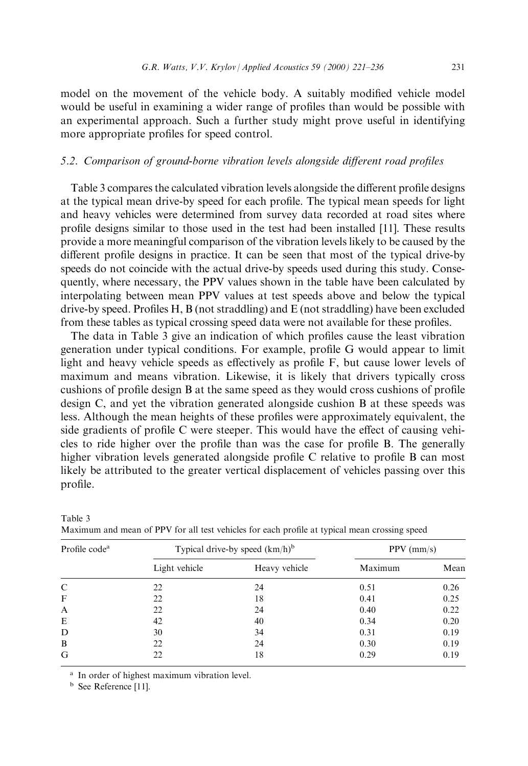model on the movement of the vehicle body. A suitably modified vehicle model would be useful in examining a wider range of profiles than would be possible with an experimental approach. Such a further study might prove useful in identifying more appropriate profiles for speed control.

## 5.2. Comparison of ground-borne vibration levels alongside different road profiles

Table 3 compares the calculated vibration levels alongside the different profile designs at the typical mean drive-by speed for each profile. The typical mean speeds for light and heavy vehicles were determined from survey data recorded at road sites where profile designs similar to those used in the test had been installed [11]. These results provide a more meaningful comparison of the vibration levels likely to be caused by the different profile designs in practice. It can be seen that most of the typical drive-by speeds do not coincide with the actual drive-by speeds used during this study. Consequently, where necessary, the PPV values shown in the table have been calculated by interpolating between mean PPV values at test speeds above and below the typical drive-by speed. Profiles H, B (not straddling) and E (not straddling) have been excluded from these tables as typical crossing speed data were not available for these profiles.

The data in Table 3 give an indication of which profiles cause the least vibration generation under typical conditions. For example, profile G would appear to limit light and heavy vehicle speeds as effectively as profile F, but cause lower levels of maximum and means vibration. Likewise, it is likely that drivers typically cross cushions of profile design B at the same speed as they would cross cushions of profile design C, and yet the vibration generated alongside cushion B at these speeds was less. Although the mean heights of these profiles were approximately equivalent, the side gradients of profile C were steeper. This would have the effect of causing vehicles to ride higher over the profile than was the case for profile B. The generally higher vibration levels generated alongside profile  $C$  relative to profile  $B$  can most likely be attributed to the greater vertical displacement of vehicles passing over this profile.

| Profile code <sup>a</sup> | Typical drive-by speed $(km/h)^b$ | $PPV$ (mm/s)  |         |      |
|---------------------------|-----------------------------------|---------------|---------|------|
|                           | Light vehicle                     | Heavy vehicle | Maximum | Mean |
| C                         | 22                                | 24            | 0.51    | 0.26 |
| F                         | 22                                | 18            | 0.41    | 0.25 |
| $\mathbf{A}$              | 22                                | 24            | 0.40    | 0.22 |
| E                         | 42                                | 40            | 0.34    | 0.20 |
| D                         | 30                                | 34            | 0.31    | 0.19 |
| B                         | 22                                | 24            | 0.30    | 0.19 |
| G                         | 22                                | 18            | 0.29    | 0.19 |

Table 3 Maximum and mean of PPV for all test vehicles for each profile at typical mean crossing speed

<sup>a</sup> In order of highest maximum vibration level.

<sup>b</sup> See Reference [11].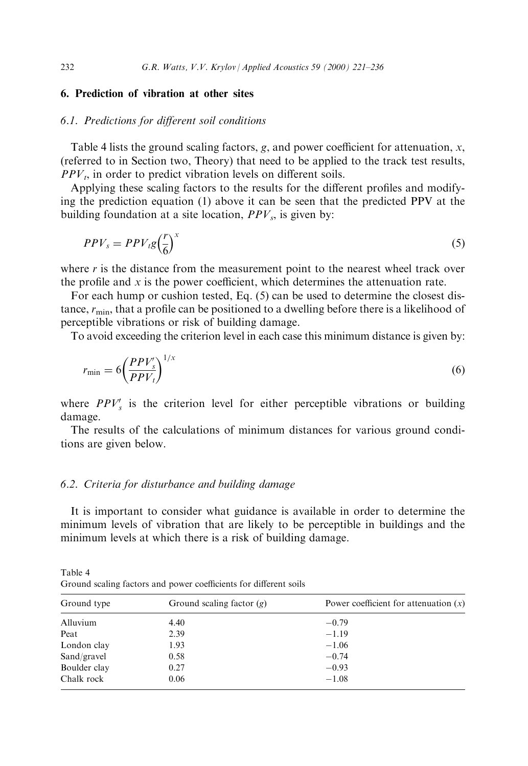## 6. Prediction of vibration at other sites

## 6.1. Predictions for different soil conditions

Table 4 lists the ground scaling factors, g, and power coefficient for attenuation, x, (referred to in Section two, Theory) that need to be applied to the track test results,  $PPV<sub>t</sub>$ , in order to predict vibration levels on different soils.

Applying these scaling factors to the results for the different profiles and modifying the prediction equation (1) above it can be seen that the predicted PPV at the building foundation at a site location,  $PPV_s$ , is given by:

$$
PPV_s = PPV_t g \left(\frac{r}{6}\right)^x \tag{5}
$$

where  $r$  is the distance from the measurement point to the nearest wheel track over the profile and  $x$  is the power coefficient, which determines the attenuation rate.

For each hump or cushion tested, Eq. (5) can be used to determine the closest distance,  $r_{\min}$ , that a profile can be positioned to a dwelling before there is a likelihood of perceptible vibrations or risk of building damage.

To avoid exceeding the criterion level in each case this minimum distance is given by:

$$
r_{\min} = 6 \left( \frac{PPV_s'}{PPV_t} \right)^{1/x} \tag{6}
$$

where  $PPV_s$  is the criterion level for either perceptible vibrations or building damage.

The results of the calculations of minimum distances for various ground conditions are given below.

## 6.2. Criteria for disturbance and building damage

It is important to consider what guidance is available in order to determine the minimum levels of vibration that are likely to be perceptible in buildings and the minimum levels at which there is a risk of building damage.

Table 4 Ground scaling factors and power coefficients for different soils

| Ground type  | Ground scaling factor $(g)$ | Power coefficient for attenuation $(x)$ |
|--------------|-----------------------------|-----------------------------------------|
| Alluvium     | 4.40                        | $-0.79$                                 |
| Peat         | 2.39                        | $-1.19$                                 |
| London clay  | 1.93                        | $-1.06$                                 |
| Sand/gravel  | 0.58                        | $-0.74$                                 |
| Boulder clay | 0.27                        | $-0.93$                                 |
| Chalk rock   | 0.06                        | $-1.08$                                 |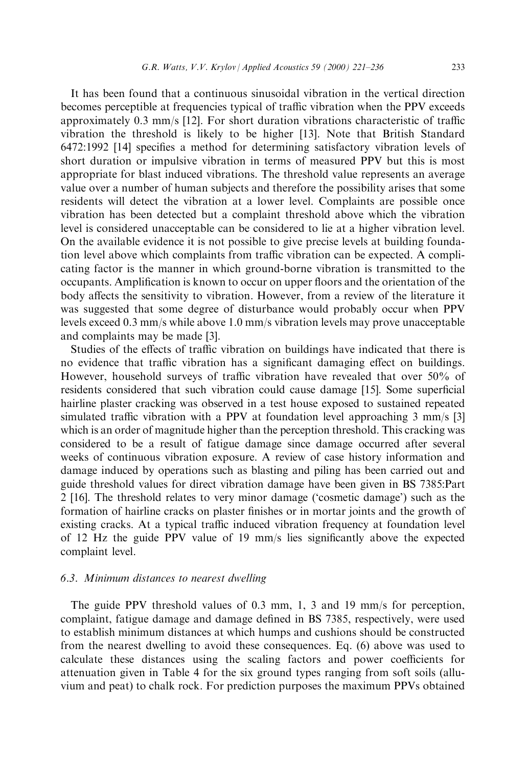It has been found that a continuous sinusoidal vibration in the vertical direction becomes perceptible at frequencies typical of traffic vibration when the PPV exceeds approximately 0.3 mm/s [12]. For short duration vibrations characteristic of traffic vibration the threshold is likely to be higher [13]. Note that British Standard  $6472:1992$  [14] specifies a method for determining satisfactory vibration levels of short duration or impulsive vibration in terms of measured PPV but this is most appropriate for blast induced vibrations. The threshold value represents an average value over a number of human subjects and therefore the possibility arises that some residents will detect the vibration at a lower level. Complaints are possible once vibration has been detected but a complaint threshold above which the vibration level is considered unacceptable can be considered to lie at a higher vibration level. On the available evidence it is not possible to give precise levels at building foundation level above which complaints from traffic vibration can be expected. A complicating factor is the manner in which ground-borne vibration is transmitted to the occupants. Amplification is known to occur on upper floors and the orientation of the body affects the sensitivity to vibration. However, from a review of the literature it was suggested that some degree of disturbance would probably occur when PPV levels exceed 0.3 mm/s while above 1.0 mm/s vibration levels may prove unacceptable and complaints may be made [3].

Studies of the effects of traffic vibration on buildings have indicated that there is no evidence that traffic vibration has a significant damaging effect on buildings. However, household surveys of traffic vibration have revealed that over 50% of residents considered that such vibration could cause damage [15]. Some superficial hairline plaster cracking was observed in a test house exposed to sustained repeated simulated traffic vibration with a PPV at foundation level approaching  $3 \text{ mm/s}$  [3] which is an order of magnitude higher than the perception threshold. This cracking was considered to be a result of fatigue damage since damage occurred after several weeks of continuous vibration exposure. A review of case history information and damage induced by operations such as blasting and piling has been carried out and guide threshold values for direct vibration damage have been given in BS 7385:Part 2 [16]. The threshold relates to very minor damage (`cosmetic damage') such as the formation of hairline cracks on plaster finishes or in mortar joints and the growth of existing cracks. At a typical traffic induced vibration frequency at foundation level of 12 Hz the guide PPV value of 19 mm/s lies significantly above the expected complaint level.

## 6.3. Minimum distances to nearest dwelling

The guide PPV threshold values of 0.3 mm, 1, 3 and 19 mm/s for perception, complaint, fatigue damage and damage defined in BS 7385, respectively, were used to establish minimum distances at which humps and cushions should be constructed from the nearest dwelling to avoid these consequences. Eq. (6) above was used to calculate these distances using the scaling factors and power coefficients for attenuation given in Table 4 for the six ground types ranging from soft soils (alluvium and peat) to chalk rock. For prediction purposes the maximum PPVs obtained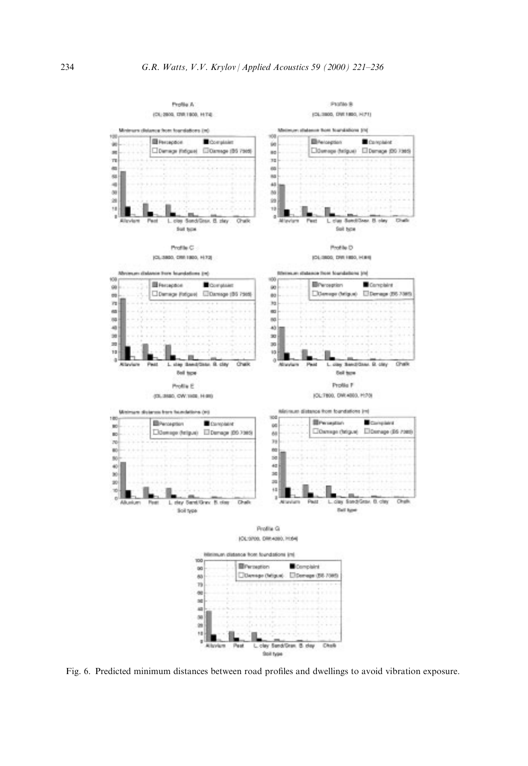

Fig. 6. Predicted minimum distances between road profiles and dwellings to avoid vibration exposure.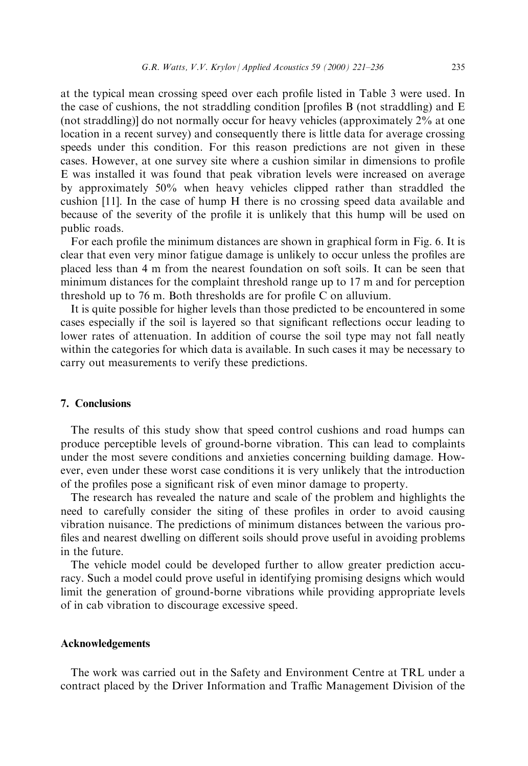at the typical mean crossing speed over each profile listed in Table 3 were used. In the case of cushions, the not straddling condition [profiles  $B$  (not straddling) and  $E$ (not straddling)] do not normally occur for heavy vehicles (approximately 2% at one location in a recent survey) and consequently there is little data for average crossing speeds under this condition. For this reason predictions are not given in these cases. However, at one survey site where a cushion similar in dimensions to profile E was installed it was found that peak vibration levels were increased on average by approximately 50% when heavy vehicles clipped rather than straddled the cushion [11]. In the case of hump H there is no crossing speed data available and because of the severity of the profile it is unlikely that this hump will be used on public roads.

For each profile the minimum distances are shown in graphical form in Fig. 6. It is clear that even very minor fatigue damage is unlikely to occur unless the profiles are placed less than 4 m from the nearest foundation on soft soils. It can be seen that minimum distances for the complaint threshold range up to 17 m and for perception threshold up to  $76$  m. Both thresholds are for profile C on alluvium.

It is quite possible for higher levels than those predicted to be encountered in some cases especially if the soil is layered so that significant reflections occur leading to lower rates of attenuation. In addition of course the soil type may not fall neatly within the categories for which data is available. In such cases it may be necessary to carry out measurements to verify these predictions.

#### 7. Conclusions

The results of this study show that speed control cushions and road humps can produce perceptible levels of ground-borne vibration. This can lead to complaints under the most severe conditions and anxieties concerning building damage. However, even under these worst case conditions it is very unlikely that the introduction of the profiles pose a significant risk of even minor damage to property.

The research has revealed the nature and scale of the problem and highlights the need to carefully consider the siting of these profiles in order to avoid causing vibration nuisance. The predictions of minimum distances between the various pro files and nearest dwelling on different soils should prove useful in avoiding problems in the future.

The vehicle model could be developed further to allow greater prediction accuracy. Such a model could prove useful in identifying promising designs which would limit the generation of ground-borne vibrations while providing appropriate levels of in cab vibration to discourage excessive speed.

#### Acknowledgements

The work was carried out in the Safety and Environment Centre at TRL under a contract placed by the Driver Information and Traffic Management Division of the